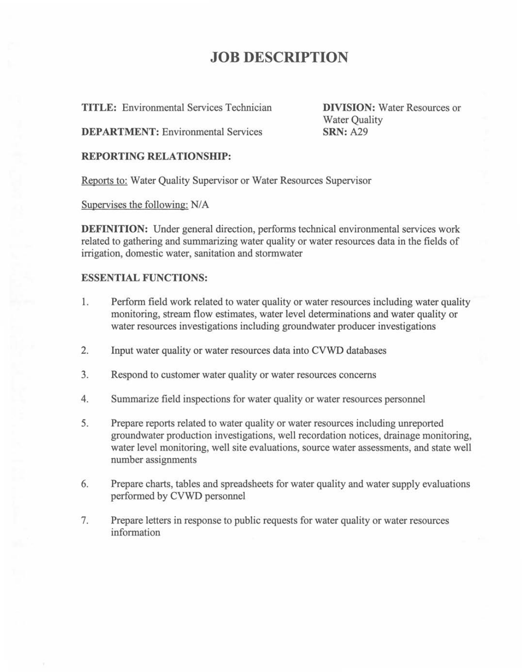### **JOB DESCRIPTION**

**TITLE:** Environmental Services Technician

**DIVISION:** Water Resources or Water Quality **SRN:** A29

**DEPARTMENT:** Environmental Services

#### **REPORTING RELATIONSHIP:**

Reports to: Water Quality Supervisor or Water Resources Supervisor

Supervises the following: N/A

**DEFINITION:** Under general direction, performs technical environmental services work related to gathering and summarizing water quality or water resources data in the fields of irrigation, domestic water, sanitation and stormwater

#### **ESSENTIAL FUNCTIONS:**

- 1. Perform field work related to water quality or water resources including water quality monitoring, stream flow estimates, water level determinations and water quality or water resources investigations including groundwater producer investigations
- 2. Input water quality or water resources data into CVWD databases
- 3. Respond to customer water quality or water resources concerns
- 4. Summarize field inspections for water quality or water resources personnel
- 5. Prepare reports related to water quality or water resources including unreported groundwater production investigations, well recordation notices, drainage monitoring, water level monitoring, well site evaluations, source water assessments, and state well number assignments
- 6. Prepare charts, tables and spreadsheets for water quality and water supply evaluations performed by CVWD personnel
- 7. Prepare letters in response to public requests for water quality or water resources information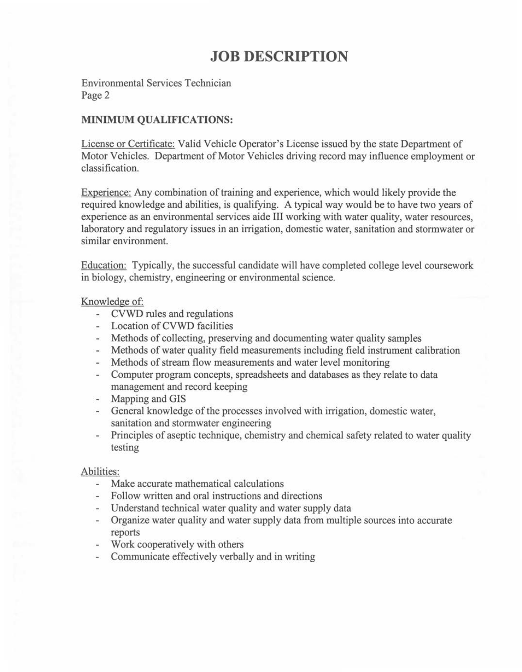## **JOB DESCRIPTION**

Environmental Services Technician Page 2

#### **MINIMUM QUALIFICATIONS:**

License or Certificate: Valid Vehicle Operator's License issued by the state Department of Motor Vehicles. Department of Motor Vehicles driving record may influence employment or classification.

Experience: Any combination of training and experience, which would likely provide the required knowledge and abilities, is qualifying. A typical way would be to have two years of experience as an environmental services aide III working with water quality, water resources, laboratory and regulatory issues in an irrigation, domestic water, sanitation and stormwater or similar environment.

Education: Typically, the successful candidate will have completed college level coursework in biology, chemistry, engineering or environmental science.

#### Knowledge of:

- CVWD rules and regulations
- Location of CVWD facilities
- Methods of collecting, preserving and documenting water quality samples
- Methods of water quality field measurements including field instrument calibration
- $\sim$ Methods of stream flow measurements and water level monitoring
- Computer program concepts, spreadsheets and databases as they relate to data  $\sim$ management and record keeping
- Mapping and GIS
- General knowledge of the processes involved with irrigation, domestic water, sanitation and stormwater engineering
- Principles of aseptic technique, chemistry and chemical safety related to water quality testing

#### Abilities:

- an i Make accurate mathematical calculations
- Follow written and oral instructions and directions
- Understand technical water quality and water supply data
- Organize water quality and water supply data from multiple sources into accurate reports
- Work cooperatively with others
- Communicate effectively verbally and in writing